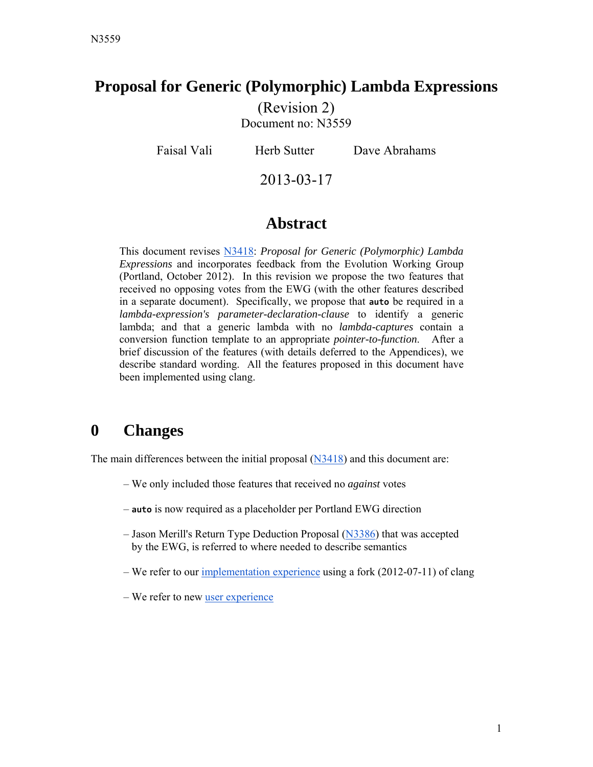#### **Proposal for Generic (Polymorphic) Lambda Expressions**

(Revision 2) Document no: N3559

Faisal Vali Herb Sutter Dave Abrahams

2013-03-17

### **Abstract**

This document revises [N3418](http://www.open-std.org/jtc1/sc22/wg21/docs/papers/2012/n3418.pdf): *Proposal for Generic (Polymorphic) Lambda Expressions* and incorporates feedback from the Evolution Working Group (Portland, October 2012). In this revision we propose the two features that received no opposing votes from the EWG (with the other features described in a separate document). Specifically, we propose that **auto** be required in a *lambda-expression's parameter-declaration-clause* to identify a generic lambda; and that a generic lambda with no *lambda-captures* contain a conversion function template to an appropriate *pointer-to-function*. After a brief discussion of the features (with details deferred to the Appendices), we describe standard wording. All the features proposed in this document have been implemented using clang.

## **0 Changes**

The main differences between the initial proposal [\(N3418\)](http://www.open-std.org/jtc1/sc22/wg21/docs/papers/2012/n3418.pdf) and this document are:

- We only included those features that received no *against* votes
- **auto** is now required as a placeholder per Portland EWG direction
- Jason Merill's Return Type Deduction Proposal ([N3386\)](http://www.open-std.org/jtc1/sc22/wg21/docs/papers/2012/n3386.html) that was accepted by the EWG, is referred to where needed to describe semantics
- We refer to our [implementation experience](http://faisalv.github.com/clang-glambda/) using a fork (2012-07-11) of clang
- We refer to new [user experience](http://yapb-soc.blogspot.com/2012/12/clang-and-generic-polymorphic-lambdas.html)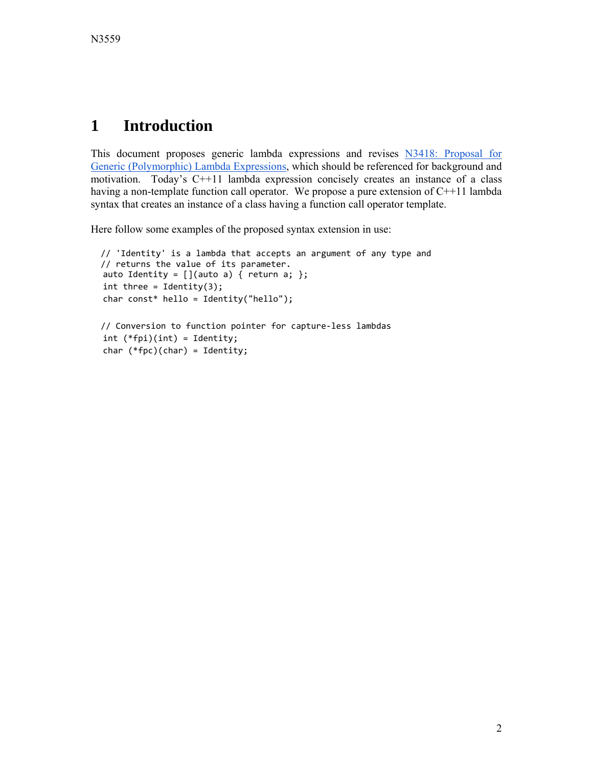## **1 Introduction**

[This document proposes generic lambda expressions and revises N3418: Proposal for](http://www.open-std.org/jtc1/sc22/wg21/docs/papers/2012/n3418.pdf) Generic (Polymorphic) Lambda Expressions, which should be referenced for background and motivation. Today's C++11 lambda expression concisely creates an instance of a class having a non-template function call operator. We propose a pure extension of C++11 lambda syntax that creates an instance of a class having a function call operator template.

Here follow some examples of the proposed syntax extension in use:

```
  // 'Identity' is a lambda that accepts an argument of any type and
  // returns the value of its parameter.  
auto Identity = [](auto a) { return a; };
int three = Identity(3);
char const* hello = Identity("hello");
```

```
  // Conversion to function pointer for capture‐less lambdas
int (*fpi)(int) = Identity;
char (*fpc)(char) = Identity;
```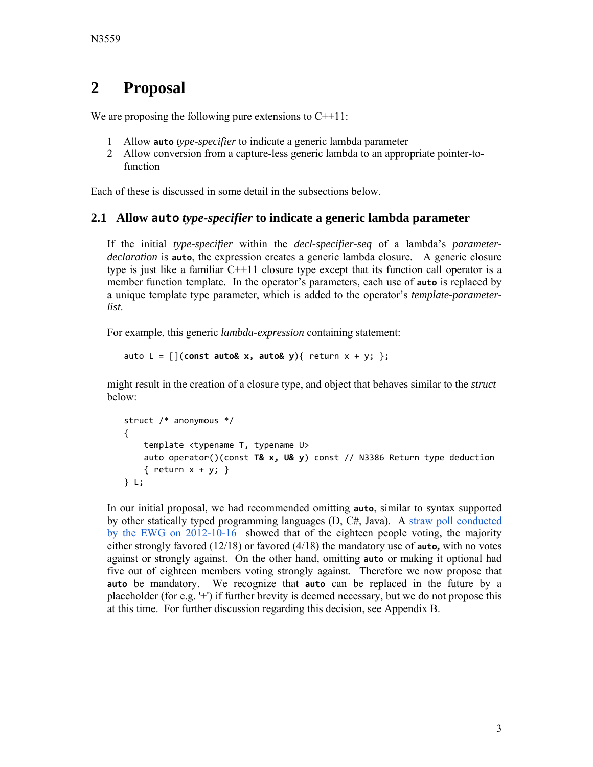## **2 Proposal**

We are proposing the following pure extensions to  $C++11$ :

- 1 Allow **auto** *type-specifier* to indicate a generic lambda parameter
- 2 Allow conversion from a capture-less generic lambda to an appropriate pointer-tofunction

Each of these is discussed in some detail in the subsections below.

#### **2.1 Allow auto** *type-specifier* **to indicate a generic lambda parameter**

If the initial *type-specifier* within the *decl-specifier-seq* of a lambda's *parameterdeclaration* is **auto**, the expression creates a generic lambda closure. A generic closure type is just like a familiar C++11 closure type except that its function call operator is a member function template. In the operator's parameters, each use of **auto** is replaced by a unique template type parameter, which is added to the operator's *template-parameterlist*.

For example, this generic *lambda-expression* containing statement:

```
auto L = [](const auto& x, auto& y){ return x + y; };
```
might result in the creation of a closure type, and object that behaves similar to the *struct*  below:

```
struct /* anonymous */
{
        template <typename T, typename U>
        auto operator()(const T& x, U& y) const // N3386 Return type deduction
    \{ return x + y; \}} L;
```
In our initial proposal, we had recommended omitting **auto**, similar to syntax supported by other statically typed programming languages (D, C#, Java). A straw poll conducted [by the EWG on 2012-10-16 showed that of the eighteen people voting, the majority](http://wiki.edg.com/twiki/bin/view/Wg21portland2012/EvolutionWorkingGroup) either strongly favored (12/18) or favored (4/18) the mandatory use of **auto,** with no votes against or strongly against. On the other hand, omitting **auto** or making it optional had five out of eighteen members voting strongly against. Therefore we now propose that **auto** be mandatory. We recognize that **auto** can be replaced in the future by a placeholder (for e.g. '+') if further brevity is deemed necessary, but we do not propose this at this time. For further discussion regarding this decision, see Appendix B.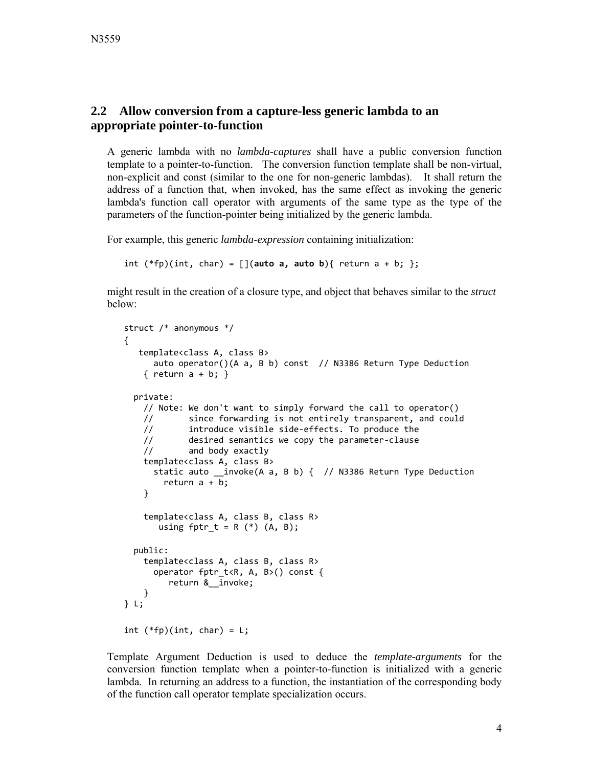#### **2.2 Allow conversion from a capture-less generic lambda to an appropriate pointer-to-function**

A generic lambda with no *lambda-captures* shall have a public conversion function template to a pointer-to-function. The conversion function template shall be non-virtual, non-explicit and const (similar to the one for non-generic lambdas). It shall return the address of a function that, when invoked, has the same effect as invoking the generic lambda's function call operator with arguments of the same type as the type of the parameters of the function-pointer being initialized by the generic lambda.

For example, this generic *lambda-expression* containing initialization:

```
int (*fp)(int, char) = [](auto a, auto b){vert return a + b; };
```
might result in the creation of a closure type, and object that behaves similar to the *struct*  below:

```
struct /* anonymous */
{
      template<class A, class B>
            auto operator()(A a, B b) const  // N3386 Return Type Deduction
    \{ return a + b; \}  private:
        // Note: We don't want to simply forward the call to operator()
        //       since forwarding is not entirely transparent, and could
        //       introduce visible side‐effects. To produce the
        //       desired semantics we copy the parameter‐clause
        //       and body exactly
        template<class A, class B>
            static auto __invoke(A a, B b) {  // N3386 Return Type Deduction
         return a + b;
        }
        template<class A, class B, class R>
       using fptr_t = R (*) (A, B);  public:
        template<class A, class B, class R>
            operator fptr_t<R, A, B>() const {
                   return &__invoke;
        }
} L;
int (*fp)(int, char) = L;
```
Template Argument Deduction is used to deduce the *template-arguments* for the conversion function template when a pointer-to-function is initialized with a generic lambda. In returning an address to a function, the instantiation of the corresponding body of the function call operator template specialization occurs.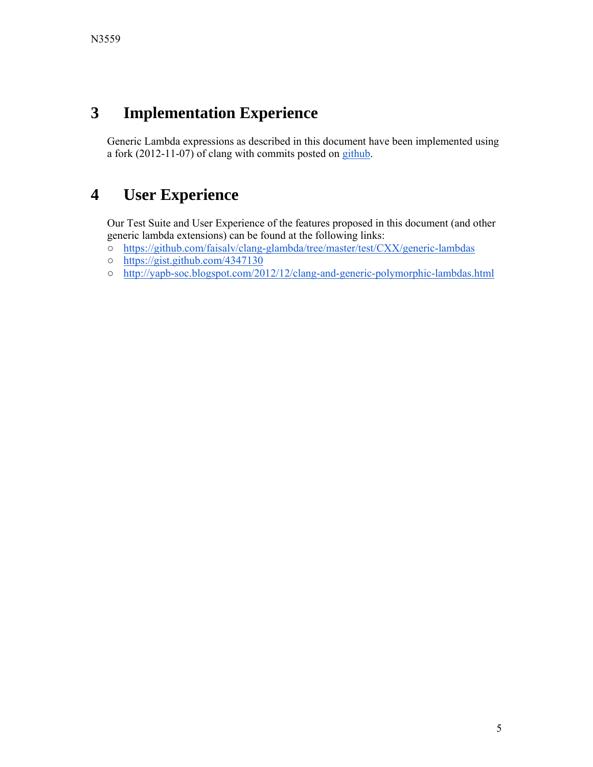# **3 Implementation Experience**

Generic Lambda expressions as described in this document have been implemented using a fork (2012-11-07) of clang with commits posted on [github](http://faisalv.github.com/clang-glambda/).

## **4 User Experience**

Our Test Suite and User Experience of the features proposed in this document (and other generic lambda extensions) can be found at the following links:

- <https://github.com/faisalv/clang-glambda/tree/master/test/CXX/generic-lambdas>
- <https://gist.github.com/4347130>
- <http://yapb-soc.blogspot.com/2012/12/clang-and-generic-polymorphic-lambdas.html>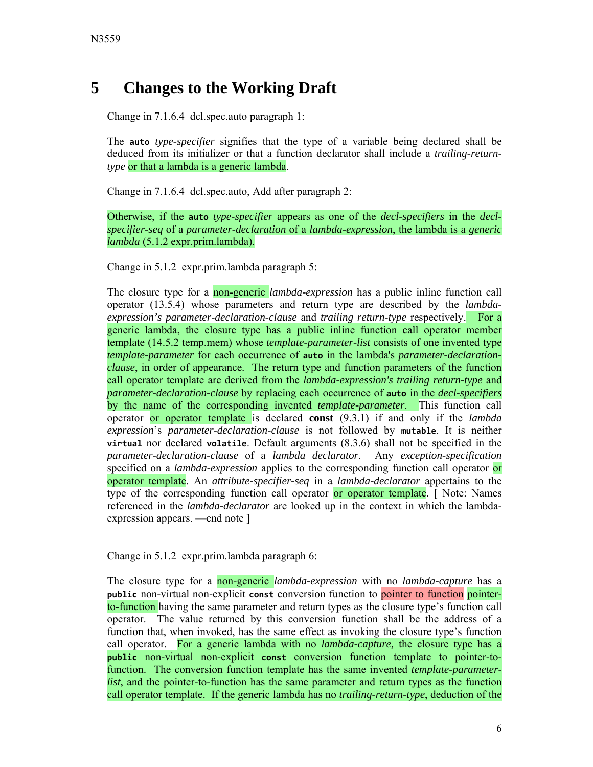## **5 Changes to the Working Draft**

Change in 7.1.6.4 dcl.spec.auto paragraph 1:

The **auto** *type-specifier* signifies that the type of a variable being declared shall be deduced from its initializer or that a function declarator shall include a *trailing-returntype* or that a lambda is a generic lambda.

Change in 7.1.6.4 dcl.spec.auto, Add after paragraph 2:

Otherwise, if the **auto** *type-specifier* appears as one of the *decl-specifiers* in the *declspecifier-seq* of a *parameter-declaration* of a *lambda-expression*, the lambda is a *generic lambda* (5.1.2 expr.prim.lambda).

Change in 5.1.2 expr.prim.lambda paragraph 5:

The closure type for a non-generic *lambda-expression* has a public inline function call operator (13.5.4) whose parameters and return type are described by the *lambdaexpression's parameter-declaration-clause* and *trailing return-type* respectively. For a generic lambda, the closure type has a public inline function call operator member template (14.5.2 temp.mem) whose *template-parameter-list* consists of one invented type *template-parameter* for each occurrence of **auto** in the lambda's *parameter-declarationclause*, in order of appearance. The return type and function parameters of the function call operator template are derived from the *lambda-expression's trailing return-type* and *parameter-declaration-clause* by replacing each occurrence of **auto** in the *decl-specifiers*  by the name of the corresponding invented *template-parameter*. This function call operator or operator template is declared **const** (9.3.1) if and only if the *lambda expression*'s *parameter-declaration-clause* is not followed by **mutable**. It is neither **virtual** nor declared **volatile**. Default arguments (8.3.6) shall not be specified in the *parameter-declaration-clause* of a *lambda declarator*. Any *exception-specification* specified on a *lambda-expression* applies to the corresponding function call operator or operator template. An *attribute-specifier-seq* in a *lambda-declarator* appertains to the type of the corresponding function call operator or operator template. [ Note: Names referenced in the *lambda-declarator* are looked up in the context in which the lambdaexpression appears. —end note ]

Change in 5.1.2 expr.prim.lambda paragraph 6:

The closure type for a non-generic *lambda-expression* with no *lambda-capture* has a **public** non-virtual non-explicit **const** conversion function to pointer to function pointerto-function having the same parameter and return types as the closure type's function call operator. The value returned by this conversion function shall be the address of a function that, when invoked, has the same effect as invoking the closure type's function call operator. For a generic lambda with no *lambda-capture,* the closure type has a **public** non-virtual non-explicit **const** conversion function template to pointer-tofunction. The conversion function template has the same invented *template-parameterlist*, and the pointer-to-function has the same parameter and return types as the function call operator template. If the generic lambda has no *trailing-return-type*, deduction of the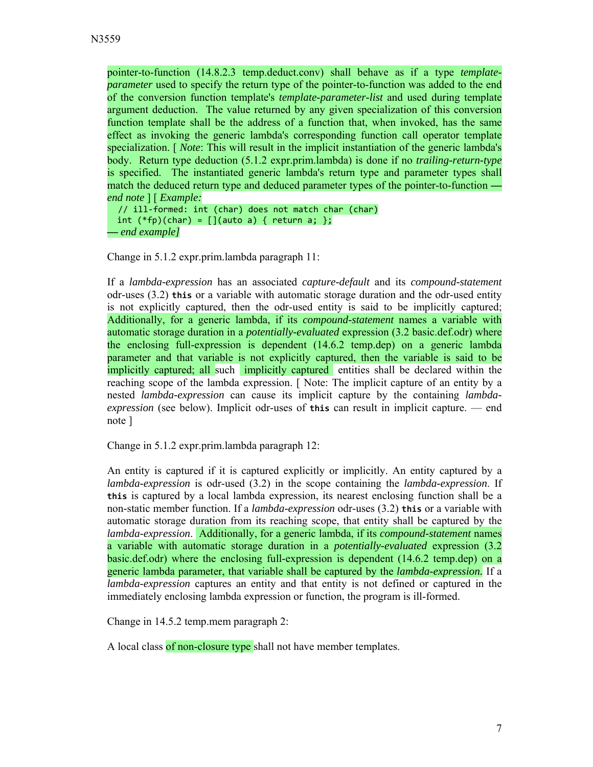pointer-to-function (14.8.2.3 temp.deduct.conv) shall behave as if a type *templateparameter* used to specify the return type of the pointer-to-function was added to the end of the conversion function template's *template-parameter-list* and used during template argument deduction. The value returned by any given specialization of this conversion function template shall be the address of a function that, when invoked, has the same effect as invoking the generic lambda's corresponding function call operator template specialization. [ *Note*: This will result in the implicit instantiation of the generic lambda's body. Return type deduction (5.1.2 expr.prim.lambda) is done if no *trailing-return-type*  is specified. The instantiated generic lambda's return type and parameter types shall match the deduced return type and deduced parameter types of the pointer-to-function  *end note* ] [ *Example:* 

// ill‐formed: int (char) does not match char (char) int  $(*fp)(char) = [](auto a) { return a; };$ **—** *end example]*

Change in 5.1.2 expr.prim.lambda paragraph 11:

If a *lambda-expression* has an associated *capture-default* and its *compound-statement* odr-uses (3.2) **this** or a variable with automatic storage duration and the odr-used entity is not explicitly captured, then the odr-used entity is said to be implicitly captured; Additionally, for a generic lambda, if its *compound-statement* names a variable with automatic storage duration in a *potentially-evaluated* expression (3.2 basic.def.odr) where the enclosing full-expression is dependent (14.6.2 temp.dep) on a generic lambda parameter and that variable is not explicitly captured, then the variable is said to be implicitly captured; all such implicitly captured entities shall be declared within the reaching scope of the lambda expression. [ Note: The implicit capture of an entity by a nested *lambda-expression* can cause its implicit capture by the containing *lambdaexpression* (see below). Implicit odr-uses of **this** can result in implicit capture. — end note ]

Change in 5.1.2 expr.prim.lambda paragraph 12:

An entity is captured if it is captured explicitly or implicitly. An entity captured by a *lambda-expression* is odr-used (3.2) in the scope containing the *lambda-expression*. If **this** is captured by a local lambda expression, its nearest enclosing function shall be a non-static member function. If a *lambda-expression* odr-uses (3.2) **this** or a variable with automatic storage duration from its reaching scope, that entity shall be captured by the *lambda-expression*. Additionally, for a generic lambda, if its *compound-statement* names a variable with automatic storage duration in a *potentially-evaluated* expression (3.2 basic.def.odr) where the enclosing full-expression is dependent (14.6.2 temp.dep) on a generic lambda parameter, that variable shall be captured by the *lambda-expression.* If a *lambda-expression* captures an entity and that entity is not defined or captured in the immediately enclosing lambda expression or function, the program is ill-formed.

Change in 14.5.2 temp.mem paragraph 2:

A local class of non-closure type shall not have member templates.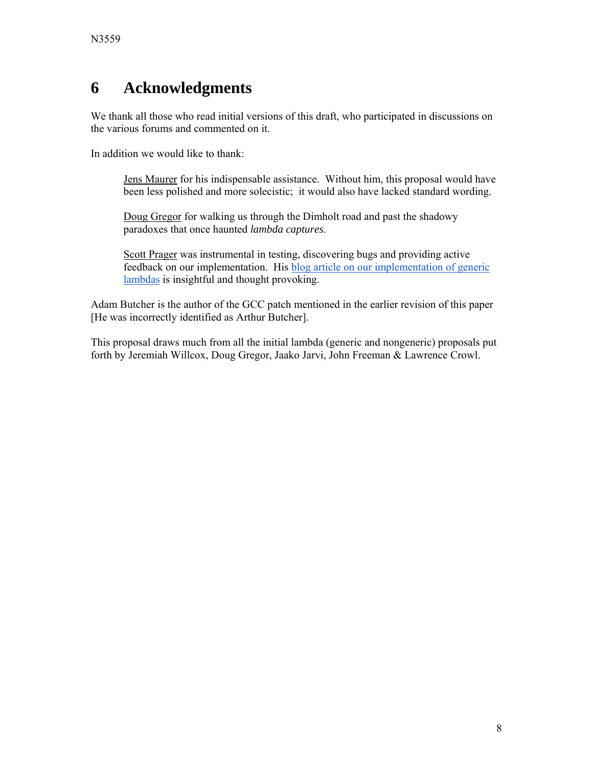## **6 Acknowledgments**

We thank all those who read initial versions of this draft, who participated in discussions on the various forums and commented on it.

In addition we would like to thank:

Jens Maurer for his indispensable assistance. Without him, this proposal would have been less polished and more solecistic; it would also have lacked standard wording.

Doug Gregor for walking us through the Dimholt road and past the shadowy paradoxes that once haunted *lambda captures*.

Scott Prager was instrumental in testing, discovering bugs and providing active [feedback on our implementation. His blog article on our implementation of generic](http://yapb-soc.blogspot.com/2012/12/clang-and-generic-polymorphic-lambdas.html)  lambdas is insightful and thought provoking.

Adam Butcher is the author of the GCC patch mentioned in the earlier revision of this paper [He was incorrectly identified as Arthur Butcher].

This proposal draws much from all the initial lambda (generic and nongeneric) proposals put forth by Jeremiah Willcox, Doug Gregor, Jaako Jarvi, John Freeman & Lawrence Crowl.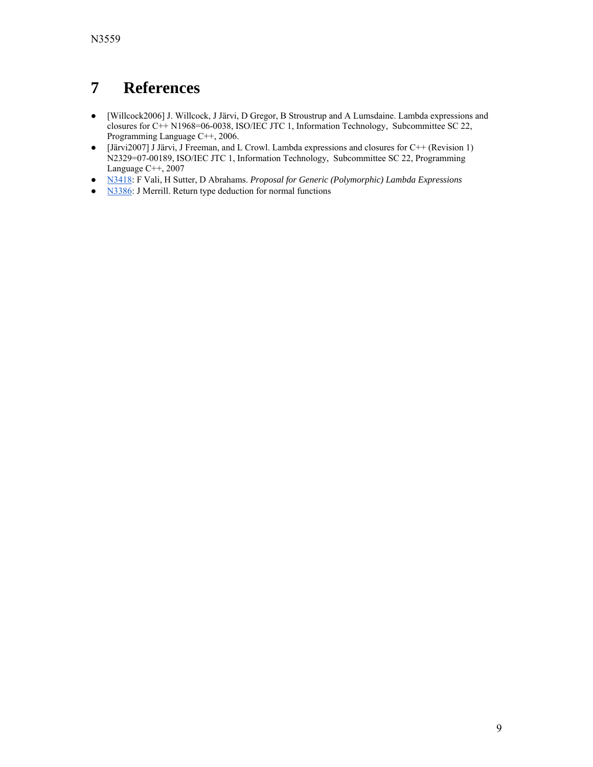# **7 References**

- [Willcock2006] J. Willcock, J Järvi, D Gregor, B Stroustrup and A Lumsdaine. Lambda expressions and closures for C++ N1968=06-0038, ISO/IEC JTC 1, Information Technology, Subcommittee SC 22, Programming Language C++, 2006.
- [Järvi2007] J Järvi, J Freeman, and L Crowl. Lambda expressions and closures for C++ (Revision 1) N2329=07-00189, ISO/IEC JTC 1, Information Technology, Subcommittee SC 22, Programming Language C++, 2007
- [N3418:](http://www.open-std.org/jtc1/sc22/wg21/docs/papers/2012/n3418.pdf) F Vali, H Sutter, D Abrahams. *Proposal for Generic (Polymorphic) Lambda Expressions*
- [N3386:](http://www.open-std.org/jtc1/sc22/wg21/docs/papers/2012/n3386.html) J Merrill. Return type deduction for normal functions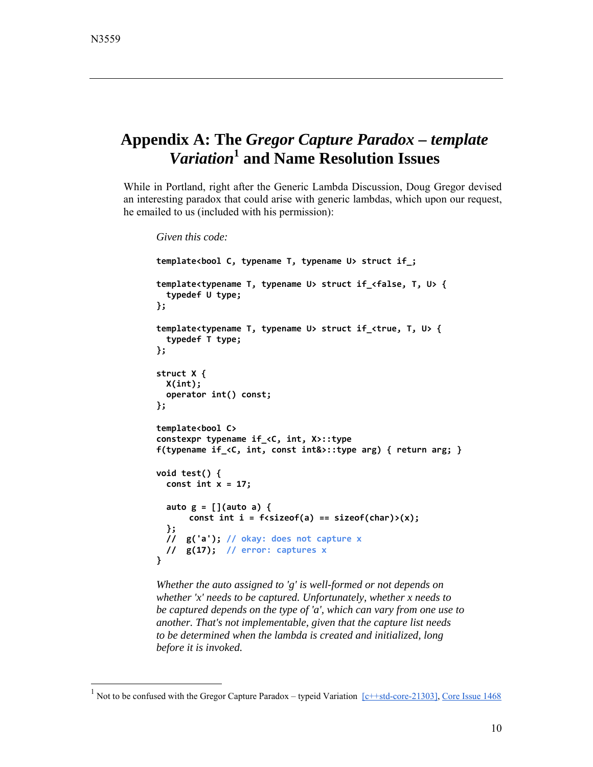-

## **Appendix A: The** *Gregor Capture Paradox – template Variation***<sup>1</sup> and Name Resolution Issues**

While in Portland, right after the Generic Lambda Discussion, Doug Gregor devised an interesting paradox that could arise with generic lambdas, which upon our request, he emailed to us (included with his permission):

```
Given this code:
template<bool C, typename T, typename U> struct if_;
template<typename T, typename U> struct if_<false, T, U> {
    typedef U type;
};
template<typename T, typename U> struct if_<true, T, U> {
    typedef T type;
};
struct X {
    X(int);
    operator int() const;
};
template<bool C>
constexpr typename if_<C, int, X>::type
f(typename if_<C, int, const int&>::type arg) { return arg; }
void test() {
    const int x = 17;
    auto g = [](auto a) {
       const int i = f<sizeof(a) == sizeof(char)>(x);
    };
    //  g('a'); // okay: does not capture x
    //  g(17);  // error: captures x
}
```
*Whether the auto assigned to 'g' is well-formed or not depends on whether 'x' needs to be captured. Unfortunately, whether x needs to be captured depends on the type of 'a', which can vary from one use to another. That's not implementable, given that the capture list needs to be determined when the lambda is created and initialized, long before it is invoked.*

<sup>&</sup>lt;sup>1</sup> Not to be confused with the Gregor Capture Paradox – typeid Variation  $\sqrt{c^{++} + \text{std-core-}21303}$ , [Core Issue 1468](http://www.open-std.org/jtc1/sc22/wg21/docs/cwg_toc.html)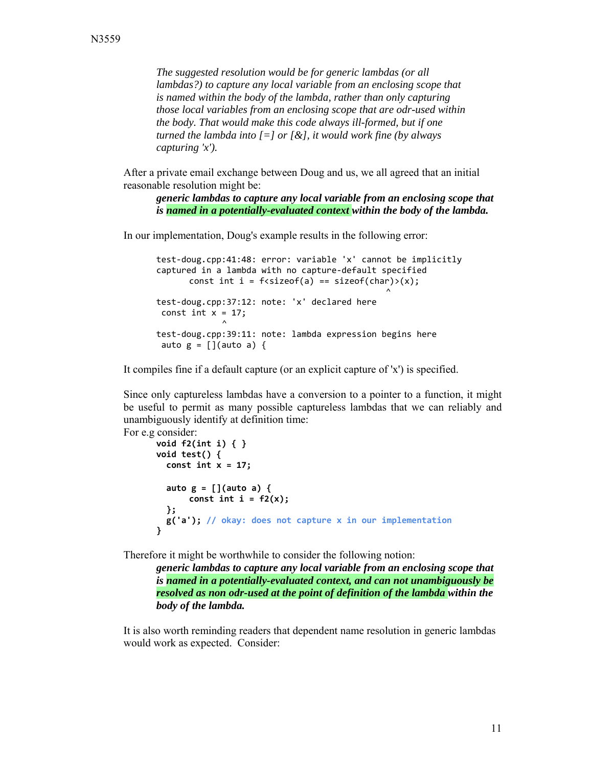*The suggested resolution would be for generic lambdas (or all lambdas?) to capture any local variable from an enclosing scope that is named within the body of the lambda, rather than only capturing those local variables from an enclosing scope that are odr-used within the body. That would make this code always ill-formed, but if one turned the lambda into [=] or [&], it would work fine (by always capturing 'x').*

After a private email exchange between Doug and us, we all agreed that an initial reasonable resolution might be:

*generic lambdas to capture any local variable from an enclosing scope that is named in a potentially-evaluated context within the body of the lambda.*

In our implementation, Doug's example results in the following error:

test‐doug.cpp:41:48: error: variable 'x' cannot be implicitly captured in a lambda with no capture‐default specified const int i =  $f$ <sizeo $f$ (a) == sizeo $f$ (char)>(x);  $\mathcal{L}$ test‐doug.cpp:37:12: note: 'x' declared here const int  $x = 17$ ;  $\mathcal{L}$ test‐doug.cpp:39:11: note: lambda expression begins here auto  $g = []$ (auto a) {

It compiles fine if a default capture (or an explicit capture of 'x') is specified.

Since only captureless lambdas have a conversion to a pointer to a function, it might be useful to permit as many possible captureless lambdas that we can reliably and unambiguously identify at definition time:

```
For e.g consider: 
       void f2(int i) { }
       void test() {
           const int x = 17;
           auto g = [](auto a) {
              const int i = f2(x);
           };
           g('a'); // okay: does not capture x in our implementation
       }
```
Therefore it might be worthwhile to consider the following notion:

*generic lambdas to capture any local variable from an enclosing scope that is named in a potentially-evaluated context, and can not unambiguously be resolved as non odr-used at the point of definition of the lambda within the body of the lambda.*

It is also worth reminding readers that dependent name resolution in generic lambdas would work as expected. Consider: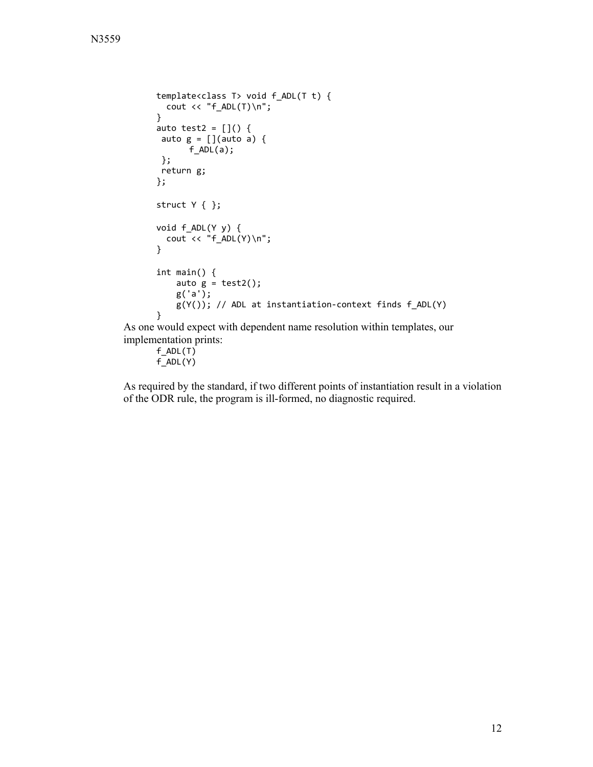```
template<class T> void f_ADL(T t) {
          cout \langle \cdot \rangle "f_ADL(T)\n";
       }
       auto test2 = []() {
        auto g = [](auto a) {
               f_ADL(a);
        };
        return g;
       };
       struct Y { };
       void f_ADL(Y y) {
            cout << "f_ADL(Y)\n";    
       }
       int main() {
            auto g = \text{test2}();
                g('a');
                g(Y()); // ADL at instantiation‐context finds f_ADL(Y)
       }
As one would expect with dependent name resolution within templates, our
```
implementation prints:

 $f$ \_ADL $(T)$ f\_ADL(Y)

As required by the standard, if two different points of instantiation result in a violation of the ODR rule, the program is ill-formed, no diagnostic required.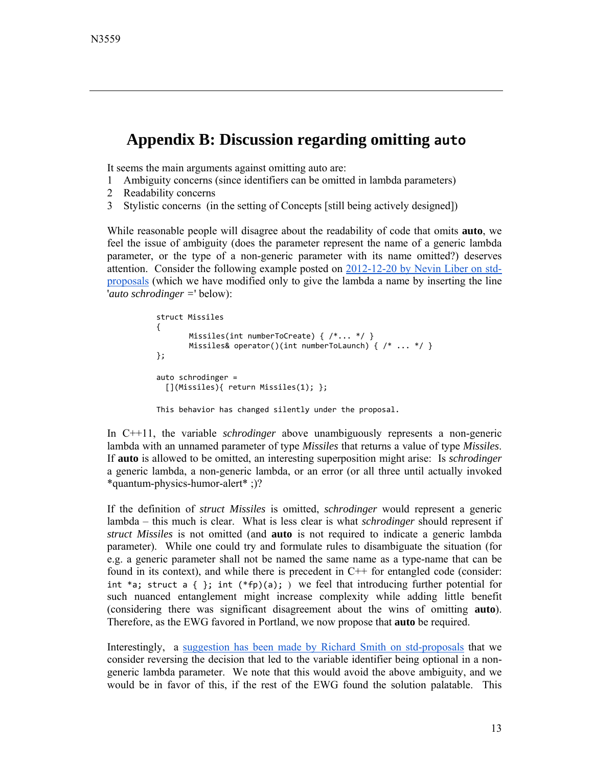#### **Appendix B: Discussion regarding omitting auto**

It seems the main arguments against omitting auto are:

- 1 Ambiguity concerns (since identifiers can be omitted in lambda parameters)
- 2 Readability concerns
- 3 Stylistic concerns (in the setting of Concepts [still being actively designed])

While reasonable people will disagree about the readability of code that omits **auto**, we feel the issue of ambiguity (does the parameter represent the name of a generic lambda parameter, or the type of a non-generic parameter with its name omitted?) deserves [attention. Consider the following example posted on 2012-12-20 by Nevin Liber on std](https://groups.google.com/a/isocpp.org/d/msg/std-proposals/Xck6f50kOjU/4YmmmVJr89oJ)proposals (which we have modified only to give the lambda a name by inserting the line '*auto schrodinger =*' below):

```
struct Missiles
{
       Missiles(int numberToCreate) { /*... */ }
       Missiles& operator()(int numberToLaunch) { /* ... */};
auto schrodinger =
    [](Missiles){ return Missiles(1); };
This behavior has changed silently under the proposal.
```
In C++11, the variable *schrodinger* above unambiguously represents a non-generic lambda with an unnamed parameter of type *Missiles* that returns a value of type *Missiles*. If **auto** is allowed to be omitted, an interesting superposition might arise: Is *schrodinger* a generic lambda, a non-generic lambda, or an error (or all three until actually invoked \*quantum-physics-humor-alert\* ;)?

If the definition of *struct Missiles* is omitted, *schrodinger* would represent a generic lambda – this much is clear. What is less clear is what *schrodinger* should represent if *struct Missiles* is not omitted (and **auto** is not required to indicate a generic lambda parameter). While one could try and formulate rules to disambiguate the situation (for e.g. a generic parameter shall not be named the same name as a type-name that can be found in its context), and while there is precedent in C++ for entangled code (consider: int \*a; struct a { }; int  $(*fp)(a)$ ; ) we feel that introducing further potential for such nuanced entanglement might increase complexity while adding little benefit (considering there was significant disagreement about the wins of omitting **auto**). Therefore, as the EWG favored in Portland, we now propose that **auto** be required.

Interestingly, a [suggestion has been made by Richard Smith on std-proposals](https://groups.google.com/a/isocpp.org/group/std-proposals/msg/85d33f8e60f9e8b2?dmode=source&output=gplain&noredirect&pli=1) that we consider reversing the decision that led to the variable identifier being optional in a nongeneric lambda parameter. We note that this would avoid the above ambiguity, and we would be in favor of this, if the rest of the EWG found the solution palatable. This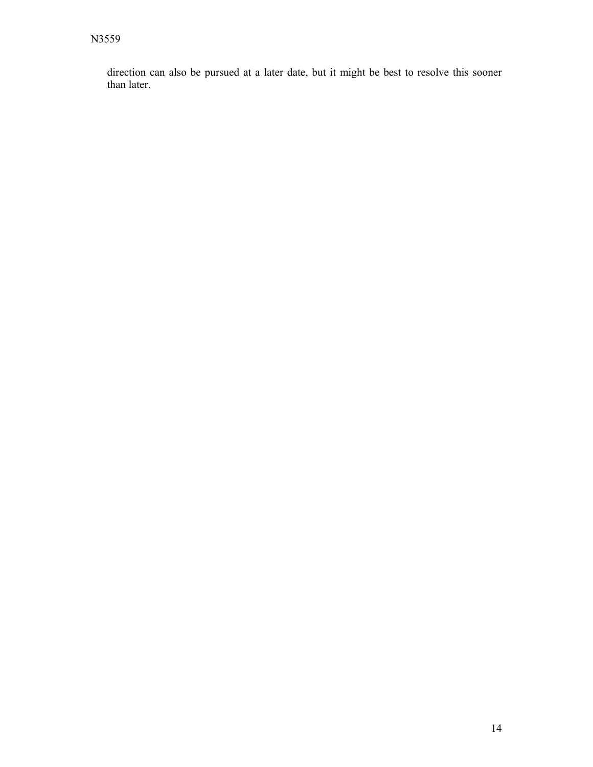direction can also be pursued at a later date, but it might be best to resolve this sooner than later.